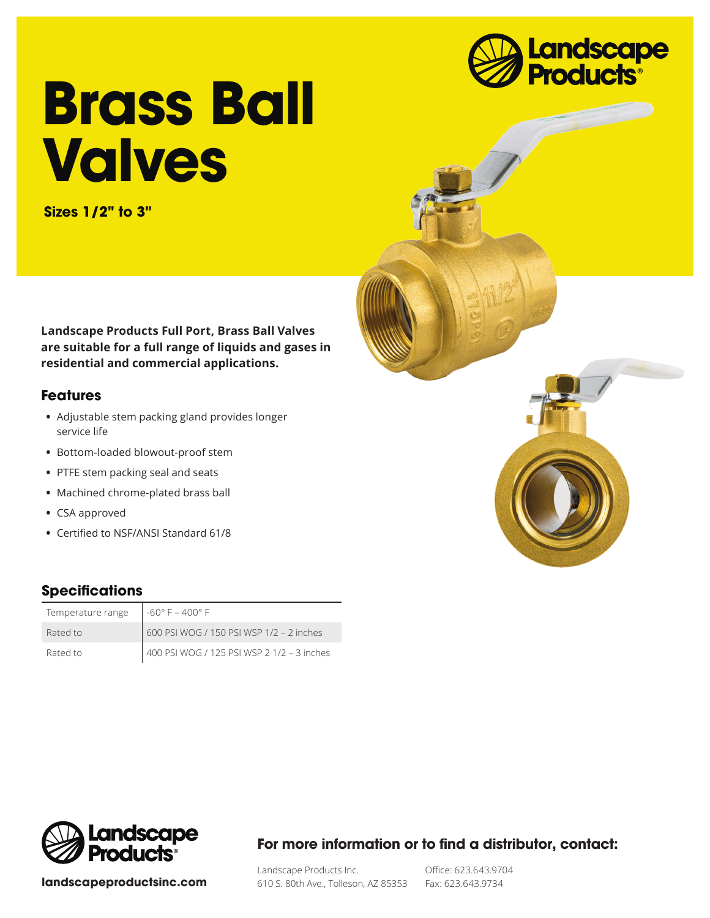

# **Brass Ball Valves**

**Sizes 1/2" to 3"**

**Landscape Products Full Port, Brass Ball Valves are suitable for a full range of liquids and gases in residential and commercial applications.**

#### **Features**

- **•** Adjustable stem packing gland provides longer service life
- **•** Bottom-loaded blowout-proof stem
- **•** PTFE stem packing seal and seats
- **•** Machined chrome-plated brass ball
- **•** CSA approved
- **•** Certified to NSF/ANSI Standard 61/8

## **Specifications**

| Temperature range | $-60^{\circ}$ F – 400° F                   |
|-------------------|--------------------------------------------|
| Rated to          | 600 PSI WOG / 150 PSI WSP 1/2 - 2 inches   |
| Rated to          | 400 PSI WOG / 125 PSI WSP 2 1/2 - 3 inches |



**landscapeproductsinc.com**

### **For more information or to find a distributor, contact:**

Landscape Products Inc. 610 S. 80th Ave., Tolleson, AZ 85353

Office: 623.643.9704 Fax: 623.643.9734